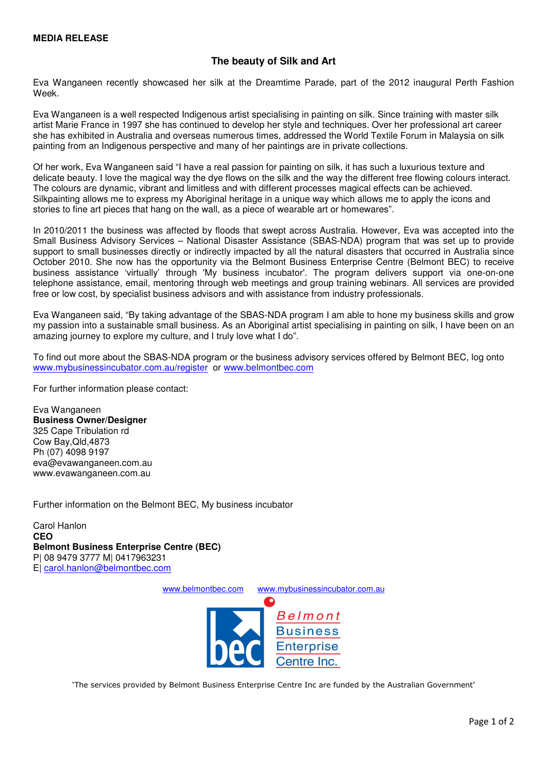## **The beauty of Silk and Art**

Eva Wanganeen recently showcased her silk at the Dreamtime Parade, part of the 2012 inaugural Perth Fashion Week.

Eva Wanganeen is a well respected Indigenous artist specialising in painting on silk. Since training with master silk artist Marie France in 1997 she has continued to develop her style and techniques. Over her professional art career she has exhibited in Australia and overseas numerous times, addressed the World Textile Forum in Malaysia on silk painting from an Indigenous perspective and many of her paintings are in private collections.

Of her work, Eva Wanganeen said "I have a real passion for painting on silk, it has such a luxurious texture and delicate beauty. I love the magical way the dye flows on the silk and the way the different free flowing colours interact. The colours are dynamic, vibrant and limitless and with different processes magical effects can be achieved. Silkpainting allows me to express my Aboriginal heritage in a unique way which allows me to apply the icons and stories to fine art pieces that hang on the wall, as a piece of wearable art or homewares".

In 2010/2011 the business was affected by floods that swept across Australia. However, Eva was accepted into the Small Business Advisory Services – National Disaster Assistance (SBAS-NDA) program that was set up to provide support to small businesses directly or indirectly impacted by all the natural disasters that occurred in Australia since October 2010. She now has the opportunity via the Belmont Business Enterprise Centre (Belmont BEC) to receive business assistance 'virtually' through 'My business incubator'. The program delivers support via one-on-one telephone assistance, email, mentoring through web meetings and group training webinars. All services are provided free or low cost, by specialist business advisors and with assistance from industry professionals.

Eva Wanganeen said, "By taking advantage of the SBAS-NDA program I am able to hone my business skills and grow my passion into a sustainable small business. As an Aboriginal artist specialising in painting on silk, I have been on an amazing journey to explore my culture, and I truly love what I do".

To find out more about the SBAS-NDA program or the business advisory services offered by Belmont BEC, log onto www.mybusinessincubator.com.au/register or www.belmontbec.com

For further information please contact:

Eva Wanganeen **Business Owner/Designer**  325 Cape Tribulation rd Cow Bay,Qld,4873 Ph (07) 4098 9197 eva@evawanganeen.com.au www.evawanganeen.com.au

Further information on the Belmont BEC, My business incubator

Carol Hanlon **CEO Belmont Business Enterprise Centre (BEC)**  P| 08 9479 3777 M| 0417963231 E| carol.hanlon@belmontbec.com

www.belmontbec.com www.mybusinessincubator.com.au



'The services provided by Belmont Business Enterprise Centre Inc are funded by the Australian Government'